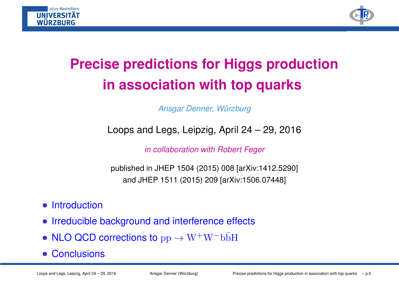



## **Precise predictions for Higgs productionin association with top quarks**

Ansgar Denner, Würzburg

Loops and Legs, Leipzig, April 24 – 29, 2016

in collaboration with Robert Feger

published in JHEP 1504 (2015) 008 [arXiv:1412.5290] and JHEP 1511 (2015) 209 [arXiv:1506.07448]

- Introduction
- Irreducible background and interference effects
- $\mathsf{NLO} \ \mathsf{QCD} \ \mathsf{corrections} \ \mathsf{to} \ \mathrm{pp} \to \mathrm{W^+W^-b\bar{b}H}$
- Conclusions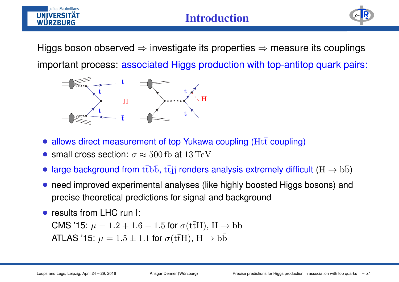

#### **Introduction**



Higgs boson observed <sup>⇒</sup> investigate its properties <sup>⇒</sup> measure its couplings important process: associated Higgs production with top-antitop quark pairs:



- allows direct measurement of top Yukawa coupling ( $\operatorname{Ht\bar{t}}$  coupling)
- small cross section:  $\sigma \approx 500\,\text{fb}$  at  $13\,\text{TeV}$
- large background from  $\mathrm{t\bar{t}b\bar{b},\,t\bar{t}jj}$  renders analysis extremely difficult  $(\mathrm{H\rightarrow b\bar{b}})$
- need improved experimental analyses (like highly boosted Higgs bosons) andprecise theoretical predictions for signal and background
- results from LHC run I:

 $\textsf{CMS '15: } \mu = 1.2 + 1.6 - 1.5$  for  $\sigma(\text{t} \bar{\text{t}}\text{H}), \text{ H} \rightarrow$ CMS '15:  $\mu = 1.2 + 1.6 - 1.5$  for  $\sigma$ (tt̄H),  $H \rightarrow b\bar{b}$ <br>ATLAS '15:  $\mu = 1.5 \pm 1.1$  for  $\sigma$ (tt̄H),  $H \rightarrow b\bar{b}$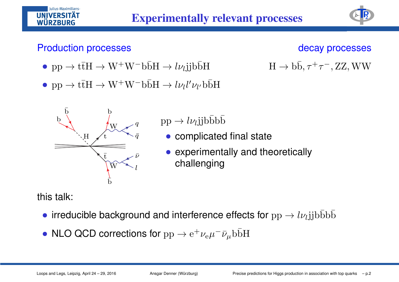#### Production processes

Iulius-Maximilians-

**UNIVERSIT** WÜRZBURG

#### decay processes

 $, \rm ZZ, WW$ 

 $\rightarrow b\bar{b}, \tau^+\tau^-$ 

EP<sub>2</sub>

- $pp \to t\bar{t}H \to W^+W^-b\bar{b}H \to l\nu_l jjb\bar{b}H$  H
- $\text{pp} \to \text{t\bar{t}H} \to \text{W}^+ \text{W}^- \text{b\bar{b}H} \to l \nu_l l' \nu_{l'} \text{b\bar{b}H}$



- $\rightarrow l\nu_l$ jjb $\bar{b}b\bar{b}$
- complicated final state
- experimentally and theoretically challenging

this talk:

- irreducible background and interference effects for  $\rm pp \rightarrow l\nu_l j j b \bar{b} b \bar{b}$
- NLO QCD corrections for  $\rm pp\rightarrow e^+\nu_e\mu^-\bar{\nu}_\mu b\bar{b}H$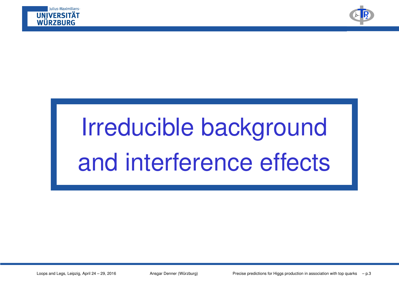



# Irreducible backgroundand interference effects

Loops and Legs, Leipzig, April 24 – 29, 2016 Ansgar Denner (Würzburg) Precise predictions for Higgs production in association with top quarks – p.3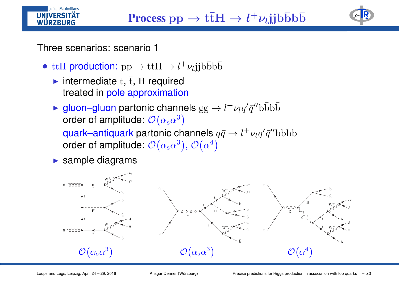

Three scenarios: scenario 1

Iulius-Maximilians-**VEDCIT** WÜRZBURG

- $\mathrm{t\bar{t}H}$  production:  $\mathrm{pp} \rightarrow \mathrm{t\bar{t}H} \rightarrow l^+\nu_l \mathrm{jjb\bar{b}b\bar{b}}$ 
	- intermediate  $t$ ,  $\overline{t}$ , H required treated in <mark>pole approximation</mark>
	- ► gluon–gluon partonic channels  $gg \to l^+ \nu_l q' \bar{q}'' b \bar{b} b \bar{b}$  order of amplitude:  $\mathcal{O}(\alpha_s \alpha^3)$ quark–antiquark partonic channels  $q\bar{q}\to l^+\nu_lq'\bar{q}''$ b $\bar{b}b\bar{b}$ order of amplitude:  $\mathcal{O}(\alpha_{\rm s}\alpha^3)$ ,  $\mathcal{O}(\alpha^4)$
	- ▶ sample diagrams

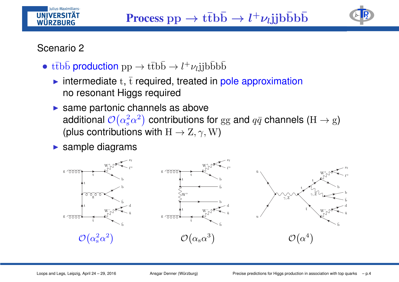#### Scenario <sup>2</sup>

Iulius-Maximilians-**VEDCIT** WÜRZBURG

- t $\bar{t}b\bar{b}$  production  $pp \rightarrow t\bar{t}b\bar{b} \rightarrow l^+\nu_l jjb\bar{b}b\bar{b}$ 
	- intermediate  $t, \bar{t}$  required, treated in pole approximation no resonant Higgs required
	- $\blacktriangleright$  same partonic channels as above additional  $\mathcal{O}\big(\alpha_{\mathrm{s}}^2\alpha^2\big)$  contributions for  $\mathrm{gg}$  and  $q\bar{q}$  channels  $(\mathrm{H}\to \mathrm{g})$ (plus contributions with  $\mathrm{H}\rightarrow\mathrm{Z},\gamma,\mathrm{W})$
	- ▶ sample diagrams

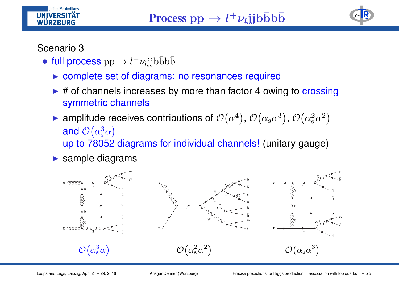



#### Scenario 3

**WÜRZBURG** 

Julius-Maximilians-

- full process  $\mathrm{pp} \to l^+ \nu_l \mathrm{jj} \mathrm{b} \bar{\mathrm{b}} \mathrm{b} \bar{\mathrm{b}}$ 
	- ▶ complete set of diagrams: no resonances required
	- ► # of channels increases by more than factor 4 owing to crossing symmetric channels
	- ► amplitude receives contributions of  $\mathcal{O}\!\left(\alpha^4\right)$ ,  $\mathcal{O}\!\left(\alpha_{\rm s} \alpha^3\right)$ ,  $\mathcal{O}\!\left(\alpha_{\rm s}^2 \alpha^2\right)$ and  $\mathcal{O}\big(\alpha_{\mathrm{s}}^3\alpha\big)$ up to 78052 diagrams for individual channels! (unitary gauge)
	- ▶ sample diagrams

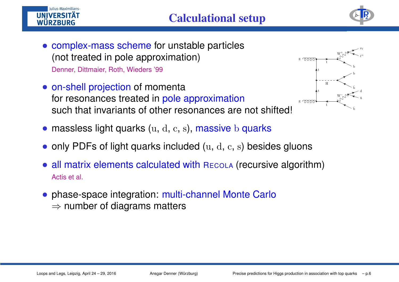



- complex-mass scheme for unstable particles (not treated in pole approximation)Denner, Dittmaier, Roth, Wieders '99
- on-shell projection of momenta for resonances treated in pole approximation such that invariants of other resonances are not shifted!



- massless light quarks (u, d, c, s), <mark>massive</mark> b <mark>quarks</mark>
- only PDFs of light quarks included  $(u, d, c, s)$  besides gluons
- all matrix elements calculated with <sup>R</sup>ECOLA (recursive algorithm) Actis et al.
- phase-space integration: multi-channel Monte Carlo  $\Rightarrow$  number of diagrams matters

Iulius-Maximilians-

**IINIVERSIT WÜRZBURG**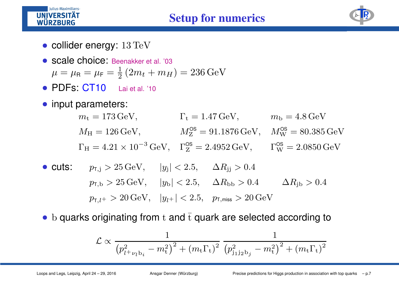



- collider energy:  $13 \text{ TeV}$
- Scale choice: Beenakker et al. '03  $\mu = \mu_{\rm F} = \frac{1}{2} (2m_t + m_H) = 236 \,\text{GeV}$
- PDFs: CT10Lai et al. '10
- input parameters:

Iulius-Maximilians-**UNIVERSITÄT WÜRZBURG** 

> $m_{\rm t} = 173 \,\text{GeV}, \qquad \qquad \Gamma_{\rm t} = 1.47 \,\text{GeV}, \qquad \qquad m_{\rm b} = 4.8 \,\text{GeV}$  $M_{\rm H} = 126\,{\rm GeV}, \hspace{1cm} M_{\rm Z}^{\rm OS} = 91.1876\,{\rm GeV}, \hspace{0.3cm} M_{\rm W}^{\rm OS} = 80.385\,{\rm GeV}$  $\Gamma_H = 4.21 \times 10^{-3} \,\text{GeV}, \quad \Gamma_Z^{\text{OS}} = 2.4952 \,\text{GeV}, \qquad \Gamma_W^{\text{OS}} = 2.0850 \,\text{GeV}$

- cuts:  $p_{\text{T,j}} > 25 \,\text{GeV}, \;\;\;\; |y_{\text{j}}| < 2.5, \;\;\;\; \Delta R_{\text{jj}} > 0.4$  $p_{\text{t,b}} > 25 \,\text{GeV}, \quad |y_{\text{b}}| < 2.5, \quad \Delta R_{\text{bb}} > 0.4 \quad \Delta R_{\text{jb}} > 0.4$  $p_{\text{\tiny T},l^{+}}>20\,\text{GeV},\;\;\; |y_{l^{+}}|<2.5,\;\;\; p_{\text{\tiny T,miss}}>20\,\text{GeV}$
- ${\rm b}$  quarks originating from  ${\rm t}$  and  $\overline{{\rm t}}$  quark are selected according to

$$
\mathcal{L} \propto \frac{1}{\left(p_{l^+ \nu_l b_i}^2 - m_t^2\right)^2 + \left(m_t \Gamma_t\right)^2} \frac{1}{\left(p_{j_1 j_2 b_j}^2 - m_t^2\right)^2 + \left(m_t \Gamma_t\right)^2}
$$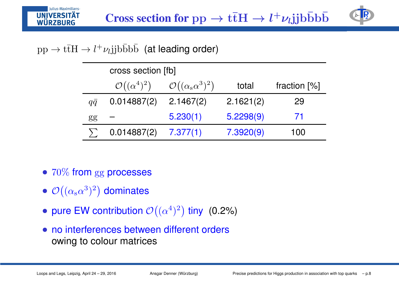

# $\rm pp\rightarrow t\bar{t}H\rightarrow l^{+}\nu_{l}j\bar{j}b\bar{b}b\bar{b}~~$  (at leading order)

|            | cross section [fb]          |                                                    |           |                |  |
|------------|-----------------------------|----------------------------------------------------|-----------|----------------|--|
|            | $\mathcal{O}((\alpha^4)^2)$ | $\mathcal{O}((\alpha_{\rm s}\alpha^3)^2)$<br>total |           | fraction $[%]$ |  |
| $q\bar{q}$ | 0.014887(2)                 | 2.1467(2)                                          | 2.1621(2) | 29             |  |
| gg         |                             | 5.230(1)                                           | 5.2298(9) | 71             |  |
|            | 0.014887(2)                 | 7.377(1)                                           | 7.3920(9) | 100            |  |

- $70\%$  from  $\rm gg$  processes
- $\bullet$   $\mathcal{O}((\alpha_{s}\alpha^{3})^{2})$  dominates
- pure EW contribution  $\mathcal{O}\big((\alpha^4)^2\big)$  tiny  $\,$  (0.2%)
- no interferences between different orders owing to colour matrices

Julius-Maximilians-

**UNIVERSITÄT WÜRZBURG**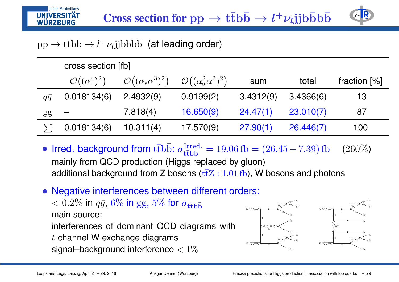

# $\rm pp\rightarrow t\bar{t}b\bar{b}\rightarrow l^{+}\nu_{l}j\bar{j}b\bar{b}b\bar{b}~~$  (at leading order)

|            | cross section [fb]          |                                           |                                                        |           |           |                |  |  |
|------------|-----------------------------|-------------------------------------------|--------------------------------------------------------|-----------|-----------|----------------|--|--|
|            | $\mathcal{O}((\alpha^4)^2)$ | $\mathcal{O}((\alpha_{\rm s}\alpha^3)^2)$ | $\mathcal{O}\left((\alpha_{\rm s}^2\alpha^2)^2\right)$ | sum       | total     | fraction $[%]$ |  |  |
| $q\bar{q}$ | 0.018134(6)                 | 2.4932(9)                                 | 0.9199(2)                                              | 3.4312(9) | 3.4366(6) | 13             |  |  |
| gg         |                             | 7.818(4)                                  | 16.650(9)                                              | 24.47(1)  | 23.010(7) | 87             |  |  |
|            | 0.018134(6)                 | 10.311(4)                                 | 17.570(9)                                              | 27.90(1)  | 26.446(7) | 100            |  |  |

- **Irred. background from**  $\text{t\bar{t}bb}$ :  $\sigma^\text{Irred.}_{\text{t\bar{t}bb}} = 19.06 \text{ fb} = (26.45 7.39) \text{ fb}$  (260%) mainly from QCD production (Higgs replaced by gluon)additional background from Z bosons ( $t\bar{t}Z : 1.01 \text{ fb}$ ), W bosons and photons
- Negative interferences between different orders:  $< 0.2\%$  in  $q\bar{q},$   $6\%$  in  $\mathrm{gg},$   $5\%$  for  $\sigma_{\mathrm{t\bar{t}b\bar{b}}}$  main source: g

interferences of dominant QCD diagrams with

<sup>t</sup>-channel W-exchange diagrams

signal–background interference  $< 1\%$ 



Iulius-Maximilians-

**UNIVERSIT WÜRZBURG**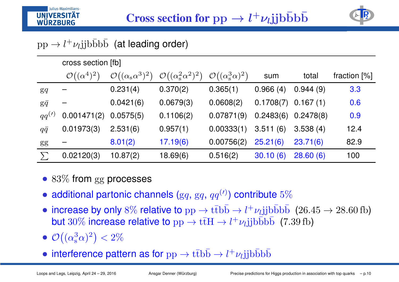

# $\text{pp} \rightarrow l^+\nu_l \text{jjb} \bar{\text{b}} \bar{\text{b}} \bar{\text{b}}$  (at leading order)

Iulius-Maximilians-

**UNIVERSIT** WÜRZBURG

|                 | cross section [fb]          |                                           |                                              |                                            |           |           |                |
|-----------------|-----------------------------|-------------------------------------------|----------------------------------------------|--------------------------------------------|-----------|-----------|----------------|
|                 | $\mathcal{O}((\alpha^4)^2)$ | $\mathcal{O}((\alpha_{\rm s}\alpha^3)^2)$ | $\mathcal{O}((\alpha_{\rm s}^2 \alpha^2)^2)$ | $\mathcal{O}((\alpha_{\rm s}^3 \alpha)^2)$ | sum       | total     | fraction $[%]$ |
| $\mathbf{g}q$   |                             | 0.231(4)                                  | 0.370(2)                                     | 0.365(1)                                   | 0.966(4)  | 0.944(9)  | 3.3            |
| $g\bar{q}$      |                             | 0.0421(6)                                 | 0.0679(3)                                    | 0.0608(2)                                  | 0.1708(7) | 0.167(1)  | 0.6            |
| $qq^{(\prime)}$ | 0.001471(2)                 | 0.0575(5)                                 | 0.1106(2)                                    | 0.07871(9)                                 | 0.2483(6) | 0.2478(8) | 0.9            |
| $q\bar{q}$      | 0.01973(3)                  | 2.531(6)                                  | 0.957(1)                                     | 0.00333(1)                                 | 3.511(6)  | 3.538(4)  | 12.4           |
| gg              |                             | 8.01(2)                                   | 17.19(6)                                     | 0.00756(2)                                 | 25.21(6)  | 23.71(6)  | 82.9           |
|                 | 0.02120(3)                  | 10.87(2)                                  | 18.69(6)                                     | 0.516(2)                                   | 30.10(6)  | 28.60(6)  | 100            |

- $83\%$  from  $\rm gg$  processes
- additional partonic channels  $(\mathrm{g} q,\, \mathrm{g} q,\, q q^{(\prime)})$  contribute  $5\%$
- increase by only  $8\%$  relative to  $pp \to t\bar{t}b\bar{b} \to l^+\nu_l jjb\bar{b}b\bar{b}~~(26.45 \to 28.60{\rm\,fb})$ but  $30\%$  increase relative to  $\text{pp} \to \text{t\bar{t}H} \to l^+\nu_l \text{jjb\bar{b}b\bar{b}}$  (7.39 fb)
- $\mathcal{O}\big((\alpha_{\mathrm{s}}^3\alpha)^2\big)< 2\%$
- interference pattern as for  $\mathrm{pp} \to \mathrm{t}\mathrm{\overline{t}bb} \to l^+\nu_l \mathrm{jj} b\bar{\mathrm{b}} b\bar{\mathrm{b}}$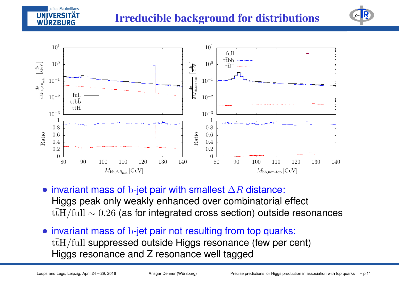## **Irreducible background for distributions**





- invariant mass of  $b$ -jet pair with smallest  $\Delta R$  distance:<br>Llisse peek enly weekly enhanced aver eembinaterial Higgs peak only weakly enhanced over combinatorial effect  $\mathrm{t\bar{t}H/full}\sim0.26$  (as for integrated cross section) outside resonances
- invariant mass of  $\mathrm b$ -jet pair not resulting from top quarks:  $\mathrm{t\bar{t}H/full}$  suppressed outside Higgs resonance (few per cent) Higgs resonance and Z resonance well tagged

Iulius-Maximilians-

WÜRZBURG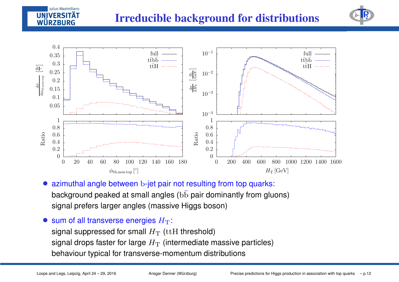



- azimuthal angle between  $\mathrm b$ -jet pair not resulting from top quarks: background peaked at small angles ( $\mathrm{b\bar{b}}$  pair dominantly from gluons) signal prefers larger angles (massive Higgs boson)
- sum of all transverse energies  $H_{\rm T}$ :

signal suppressed for small  $H_{\rm T}$  (ttH threshold) signal drops faster for large  $H_\mathrm{T}$  (intermediate massive particles)<br>. behaviour typical for transverse-momentum distributions

Julius-Maximilians-

**IINIVERSITÄ** WÜRZBURG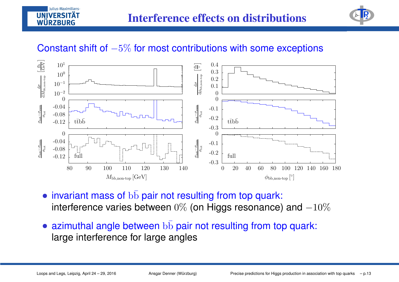



## Constant shift of  $-5\%$  for most contributions with some exceptions



- invariant mass of  $\mathrm{b\bar{b}}$  pair not resulting from top quark: interference varies between  $0\%$  (on Higgs resonance) and  $-10\%$
- azimuthal angle between  $\mathrm{b\bar{b}}$  pair not resulting from top quark: large interference for large angles

Julius-Maximilians-**VERSIT** WÜRZBURG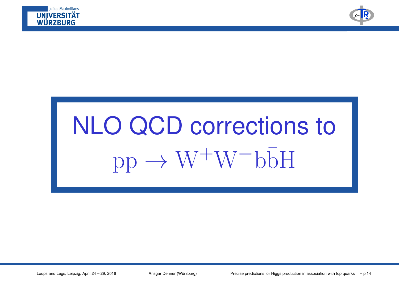



# NLO QCD corrections to $pp \rightarrow W^{+}W^{-}b\overline{b}H$

Loops and Legs, Leipzig, April 24 – 29, 2016 Ansgar Denner (Würzburg) Precise predictions for Higgs production in association with top quarks – p.14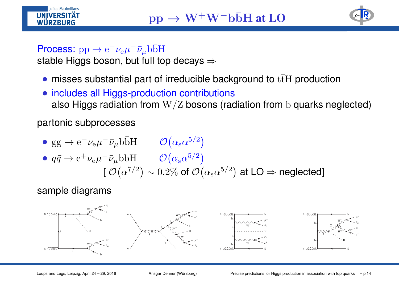



### Process:  $\mathrm{pp} \to$

Process: pp  $\rightarrow$   $\mathrm{e}^+\nu_\mathrm{e}\mu^-\bar\nu_\mu$ b $\mathrm{\overline{b}H}$ stable Higgs boson, but full top decays ⇒

- misses substantial part of irreducible background to  ${\rm t\bar t H}$  production
- includes all Higgs-production contributions also Higgs radiation from  $\rm W/Z$  bosons (radiation from  $\rm b$  quarks neglected)

partonic subprocesses

 $gg \to e^+ \nu_e \mu^- \bar{\nu}_\mu b \bar{b}H \qquad \mathcal{O}(\alpha_s \alpha^{5/2})$  $q\bar{q} \to e^+\nu_e\mu^-\bar{\nu}_\mu b\bar{b}H$   ${\cal O}\left(\alpha_s\alpha^{5/2}\right)$ [[  $\mathcal{O}\big(\alpha^{7/2}\big) \sim 0.2\%$  of  $\mathcal{O}\big(\alpha_{\rm s} \alpha^{5/2}\big)$  at LO  $\Rightarrow$  neglected]

sample diagrams

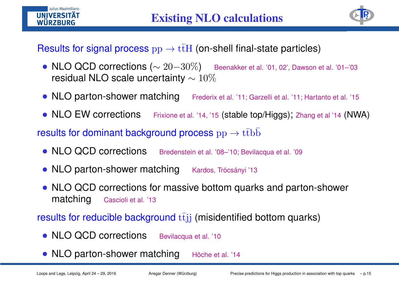



## Results for signal process  $\rm pp\rightarrow t\bar{t}H$  (on-shell final-state particles)

- $\mathsf{NLO} \ \mathsf{QCD} \text{ corrections } (\sim 20 \text{--} 30 \%)$  Beenakker et al. '01, 02', Dawson et al. '01–'03<br>regidual NLO seele uneesteinty = 1007 residual NLO scale uncertainty  $\sim 10\%$
- NLO parton-shower matching Frederix et al. '11; Garzelli et al. '11; Hartanto et al. '15
- NLO EW corrections Frixione et al. '14, '15 (stable top/Higgs); Zhang et al '14 (NWA)

results for dominant background process  $\rm pp\rightarrow t\bar{t}b\bar{b}$ 

- NLO QCD corrections Bredenstein et al. '08–'10; Bevilacqua et al. '09
- NLO parton-shower matching Kardos, Trócsányi '13
- NLO QCD corrections for massive bottom quarks and parton-shower matchingCascioli et al. '13

results for reducible background  $\mathrm{t}\bar{\mathrm{t}}\mathrm{j}\mathrm{j}$  (misidentified bottom quarks)

- NLO QCD corrections Bevilacqua et al. '10
- NLO parton-shower matching Höche et al. '14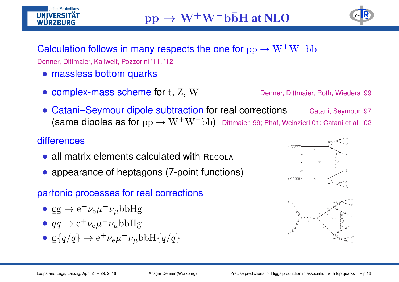## $pp \rightarrow$  $\rightarrow$  W<sup>+</sup>W<sup>−</sup>bbH at NLO **D**<sub>2</sub>



# **Calculation follows in many respects the one for**  $\rm pp \rightarrow W^+W^-b\bar{b}$ Denner, Dittmaier, Kallweit, Pozzorini '11, '12

- massless bottom quarks
- $\mathsf{complex}\text{-}\mathsf{mass}$  scheme for  $\mathrm{t},\,\mathrm{Z},\,\mathrm{W}$

Denner, Dittmaier, Roth, Wieders '99

Catani–Seymour dipole subtraction for real corrections Catani, Seymour '97 (same dipoles as for  $\rm pp \rightarrow W^+W^-b\bar{b})$  Dittmaier '99; Phaf, Weinzierl 01; Catani et al. '02

#### **differences**

Iulius-Maximilians-

WÜRZBURG

- all matrix elements calculated with <sup>R</sup>ECOLA
- appearance of heptagons (7-point functions)

#### partonic processes for real corrections

- $gg \rightarrow e^+ \nu_e \mu^- \bar{\nu}_\mu b \bar{b}Hg$
- $q\bar{q} \rightarrow e^{+}\nu_{e}\mu^{-}\bar{\nu}_{\mu}b\bar{b}Hg$
- $g\{q/\bar{q}\} \rightarrow e^+ \nu_e \mu^- \bar{\nu}_\mu b \bar{b} H\{q/\bar{q}\}\$



 $_{\rm b}$ 

 $\bar{t}$   $\sqrt{t}$ 

W−

g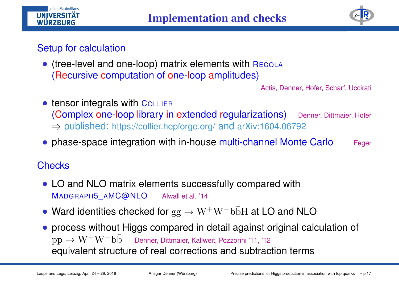

#### Setup for calculation

Iulius-Maximilians-

**UNIVERSIT** WÜRZBURG

> (tree-level and one-loop) matrix elements with R $\overline{\text{Recola}}$ (Recursive computation of one-loop amplitudes)

> > Actis, Denner, Hofer, Scharf, Uccirati

- tensor integrals with Collier (Complex one-loop library in extended regularizations) ⇒ published: https://collier.hepforge.org/ and arXiv:1604.06792 Denner, Dittmaier, Hofer
- phase-space integration with in-house <mark>multi-channel Monte Carlo</mark> Feger

#### **Checks**

- LO and NLO matrix elements successfully compared with MADGRAPH5\_AMC@NLOAlwall et al. '14
- Ward identities checked for  $\mathrm{gg} \to \mathrm{W^+W^-b\bar{b}H}$  at LO and NLO
- process without Higgs compared in detail against original calculation of  $\rm pp\rightarrow W^+W^-b\bar{b}~\quad$  Denner, Dittmaier, Kallweit, Pozzorini '11, '12 . . . . . . . . . . . equivalent structure of real corrections and subtraction terms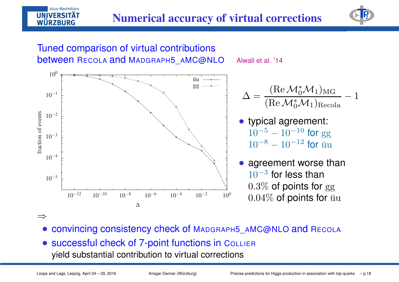Alwall et al. '14



#### Tuned comparison of virtual contributions<mark>between</mark> REcola <mark>and</mark> Madgraph5\_aMC@NLO



⇒

Julius-Maximilians-

WÜRZBURG

- convincing consistency check of MADGRAPH5\_AMC@NLO and RECOLA
- **successful check of 7-point functions in <code>CoLLIER</code>** yield substantial contribution to virtual corrections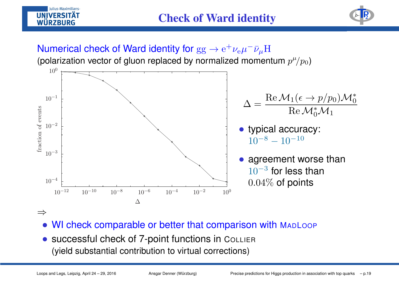





⇒

Julius-Maximilians-

WÜRZBURG

- WI check comparable or better that comparison with MapLoop
- successful check of 7-point functions in <sup>C</sup>OLLIER (yield substantial contribution to virtual corrections)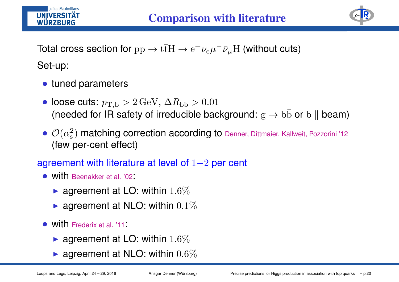



Total cross section for  $\rm pp\rightarrow t\bar{t}H\rightarrow e^+\nu_e\mu^-\bar{\nu}_\mu H$  (without cuts) Set-up:

- tuned parameters
- loose cuts:  $p_{\rm T,b}>2\,{\rm GeV}, \, \Delta R_{\rm bb}>0.01$ (needed for IR safety of irreducible background:  $\mathrm{g} \to \mathrm{b} \bar{\mathrm{b}}$  or  $\mathrm{b} \parallel$  beam)
- ${\cal O}(\alpha_{\rm s}^2$  (few per-cent effect) $\sigma_{\rm s}^2)$  matching correction according to Denner, Dittmaier, Kallweit, Pozzorini '12

### $\,$ agreement with literature at level of  $1{-}2$  per cent

- with Beenakker et al. '02:
	- $\blacktriangleright$  agreement at LO: within  $1.6\%$
	- $\blacktriangleright$  agreement at NLO: within  $0.1\%$
- with Frederix et al. '11:
	- $\blacktriangleright$  agreement at LO: within  $1.6\%$
	- $\blacktriangleright$  agreement at NLO: within  $0.6\%$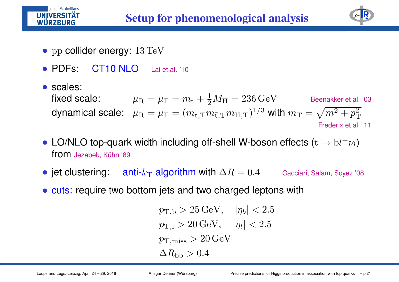

Iulius-Maximilians-

**UNIVERSITÄT** WÜRZBURG

- PDFs: CT10 NLO Lai et al. '10
- scales: fixed scale:  $\mu_{\rm R}=\mu_{\rm F}=m_{\rm t}+{1\over 2}$ dynamical scale:  $\;\mu_\mathrm{R}=\mu_\mathrm{F}=(m_\mathrm{t,T} \eta)$  $\frac{1}{2}M_{\rm H}=236\,{\rm GeV}$  Beenakker et al. '03  $\mathbf{r} = (m_{\text{t,T}} m_{\text{t,T}} m_{\text{H,T}})^{\text{T}}$  $\frac{1}{\sqrt{2}}$  $^3$  with  $m_\mathrm{T}=$  $\sqrt{m^2}$  $^2+p_\mathrm{T}^2$ T

Frederix et al. '11

EP<sub>2</sub>

- LO/NLO top-quark width including off-shell W-boson effects  $(\mathrm{t}\to \mathrm{b}l^+\nu_l)$ from Jezabek, Kühn '89
- jet clustering: anti- $k_\mathrm{T}$  $_{\rm T}$  algorithm with  $\Delta R$ Cacciari, Salam, Soyez '08
- cuts: require two bottom jets and two charged leptons with

$$
p_{\rm T,b} > 25 \,\text{GeV}, \quad |\eta_b| < 2.5
$$
  
\n
$$
p_{\rm T,l} > 20 \,\text{GeV}, \quad |\eta_l| < 2.5
$$
  
\n
$$
p_{\rm T,miss} > 20 \,\text{GeV}
$$
  
\n
$$
\Delta R_{\rm bb} > 0.4
$$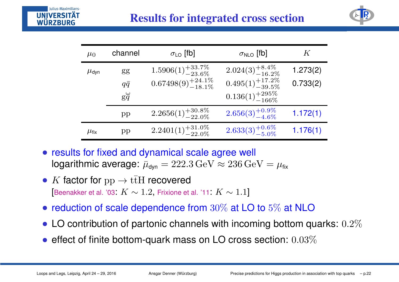

| $\mu_0$            | channel          | $\sigma_{LO}$ [fb]                                                  | $\sigma_{NLO}$ [fb]                                             | K                    |
|--------------------|------------------|---------------------------------------------------------------------|-----------------------------------------------------------------|----------------------|
| $\mu$ dyn          | gg<br>$q\bar{q}$ | $1.5906(1)_{-23.6\%}^{+33.7\%}$<br>$0.67498(9)^{+24.1\%}_{-18.1\%}$ | $2.024(3)^{+8.4\%}_{-16.2\%}$<br>$0.495(1)^{+17.2\%}_{-39.5\%}$ | 1.273(2)<br>0.733(2) |
|                    | $g\ddot{q}$      |                                                                     | $0.136(1)_{-166\%}^{+295\%}$                                    |                      |
|                    | pp               | $2.2656(1)^{+30.8\%}_{-22.0\%}$                                     | $2.656(3)^{+0.9\%}_{-4.6\%}$                                    | 1.172(1)             |
| $\mu_{\text{fix}}$ | pp               | $2.2401(1)_{-22.0\%}^{+31.0\%}$                                     | $2.633(3)^{+0.6\%}_{-5.0\%}$                                    | 1.176(1)             |

- results for fixed and dynamical scale agree well logarithmic average:  $\bar{\mu}_{\sf dyn} = 222.3 \, {\rm GeV} \approx 236 \, {\rm GeV} = \mu_{\sf fix}$
- $K$  factor for  $pp \to t\bar{t}H$  recovered<br>Executive at al. 2001  $K$  and 2. Existence at [Beenakker et al. '03:  $K\sim 1.2,$  Frixione et al. '11:  $K\sim 1.1$ ]
- reduction of scale dependence from  $30\%$  at LO to  $5\%$  at NLO
- LO contribution of partonic channels with incoming bottom quarks:  $0.2\%$
- effect of finite bottom-quark mass on LO cross section:  $0.03\%$

Iulius-Maximilians-

WÜRZBURG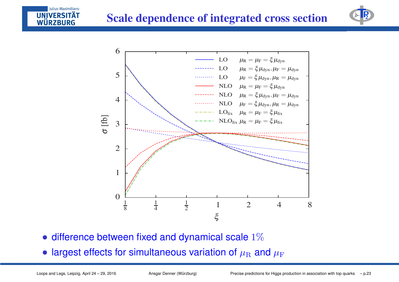### **Scale dependence of integrated cross section**





- difference between fixed and dynamical scale  $1\%$
- largest effects for simultaneous variation of  $\mu_\mathrm{R}$   $\!$  $_{\rm R}$  and  $\mu_{\rm F}$

Julius-Maximilians-

**UNIVERSIT** WÜRZBURG

Loops and Legs, Leipzig, April 24 – 29, 2016 Ansgar Denner (Würzburg) Precise predictions for Higgs production in association with top quarks – p.23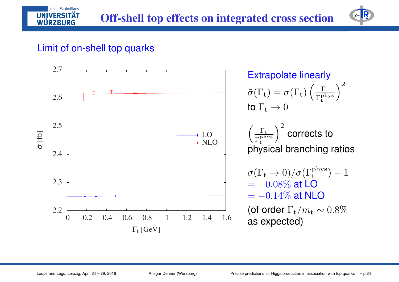

#### Limit of on-shell top quarks

Julius-Maximilians-**IINIVERSITÄT** WÜRZBURG

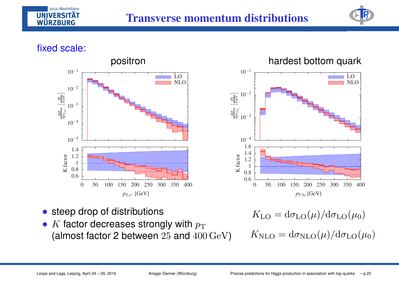



#### fixed scale:



#### positron hardest bottom quark



- steep drop of distributions
- $K$  factor decreases strongly with  $p_{\rm T}$ <br>(almost factor 3 botwoon 35 and 400 (almost factor 2 between  $25$  and  $400\,{\rm GeV})$

 $K_{\text{LO}} = d\sigma_{\text{LO}}(\mu)/d\sigma_{\text{LO}}(\mu_0)$ 

$$
K_{\rm NLO} = d\sigma_{\rm NLO}(\mu)/d\sigma_{\rm LO}(\mu_0)
$$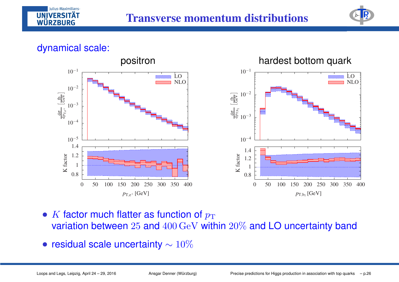



#### dynamical scale:



- $K$  factor much flatter as function of  $p_{\rm T}$ <br>variation between 25 and 400 CeV with variation between  $25$  and  $400\,{\rm GeV}$  within  $20\%$  and LO uncertainty band
- residual scale uncertainty  $\sim 10\%$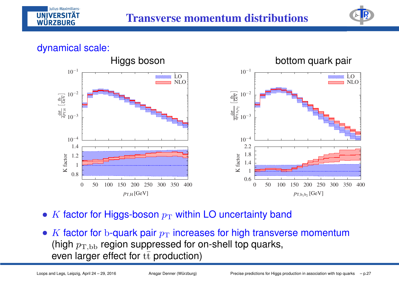



#### dynamical scale:



- $K$  factor for Higgs-boson  $p_{\rm T}$  $_{\rm T}$  within LO uncertainty band
- $K$  factor for b-quark pair  $p_{\rm T}$ <br>(bigh  $r_{\rm T}$  region suppress (high  $p_\mathrm{T,bb}$  region suppressed for on-shell top quarks,  $_{\rm T}$  increases for high transverse momentum even larger effect for  $\mathrm{t\bar{t}}$  production)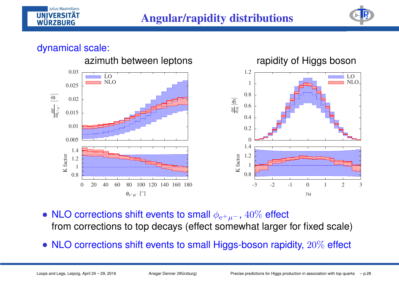

#### dynamical scale:



- NLO corrections shift events to small  $\phi_{\mathrm{e}^{+}\mu^{-}}$  from corrections to top decays (effect somewhat larger for fixed scale) $-$ ,  $40\%$  effect
- $\sf NLO$  corrections shift events to small Higgs-boson rapidity,  $20\%$  effect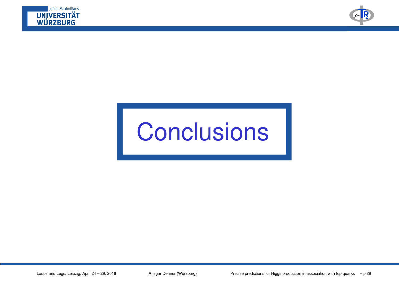



# **Conclusions**